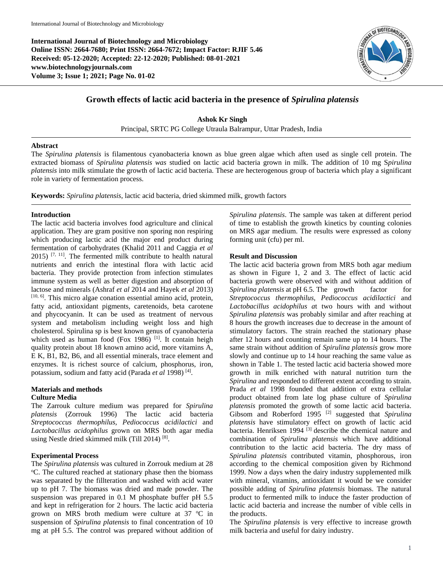**International Journal of Biotechnology and Microbiology Online ISSN: 2664-7680; Print ISSN: 2664-7672; Impact Factor: RJIF 5.46 Received: 05-12-2020; Accepted: 22-12-2020; Published: 08-01-2021 www.biotechnologyjournals.com Volume 3; Issue 1; 2021; Page No. 01-02**



# **Growth effects of lactic acid bacteria in the presence of** *Spirulina platensis*

**Ashok Kr Singh** Principal, SRTC PG College Utraula Balrampur, Uttar Pradesh, India

#### **Abstract**

The *Spirulina platensis* is filamentous cyanobacteria known as blue green algae which aften used as single cell protein. The extracted biomass of *Spirulina platensis was* studied on lactic acid bacteria grown in milk. The addition of 10 mg S*pirulina platensis* into milk stimulate the growth of lactic acid bacteria. These are hecterogenous group of bacteria which play a significant role in variety of fermentation process.

**Keywords:** *Spirulina platensis*, lactic acid bacteria, dried skimmed milk, growth factors

#### **Introduction**

The lactic acid bacteria involves food agriculture and clinical application. They are gram positive non sporing non respiring which producing lactic acid the major end product during fermentation of carbohydrates (Khalid 2011 and Caggia *et al*  $2015$ )  $[7, 11]$ . The fermented milk contribute to health natural nutrients and enrich the intestinal flora with lactic acid bacteria. They provide protection from infection stimulates immune system as well as better digestion and absorption of lactose and minerals (Ashraf *et al* 2014 and Hayek *et al* 2013) [10, 6]. This micro algae conation essential amino acid, protein, fatty acid, antioxidant pigments, caretenoids, beta carotene and phycocyanin. It can be used as treatment of nervous system and metabolism including weight loss and high cholesterol. Spirulina sp is best known genus of cyanobacteria which used as human food (Fox 1986)<sup>[1]</sup>. It contain heigh quality protein about 18 known amino acid, more vitamins A, E K, B1, B2, B6, and all essential minerals, trace element and enzymes. It is richest source of calcium, phosphorus, iron, potassium, sodium and fatty acid (Parada et al 1998)<sup>[4]</sup>.

### **Materials and methods Culture Media**

The Zarrouk culture medium was prepared for *Spirulina platensis* (Zorrouk 1996) The lactic acid bacteria *Streptococcus thermophilus, Pediococcus acidilactici* and *Lactobacillus acidophilus* grown on MRS both agar media using Nestle dried skimmed milk (Till 2014)<sup>[8]</sup>.

#### **Experimental Process**

The *Spirulina platensis* was cultured in Zorrouk medium at 28 <sup>o</sup>C. The cultured reached at stationary phase then the biomass was separated by the fillteration and washed with acid water up to pH 7. The biomass was dried and made powder. The suspension was prepared in 0.1 M phosphate buffer pH 5.5 and kept in refrigeration for 2 hours. The lactic acid bacteria grown on MRS broth medium were culture at  $37 \text{ °C}$  in suspension of *Spirulina platensis* to final concentration of 10 mg at pH 5.5. The control was prepared without addition of *Spirulina platensis*. The sample was taken at different period of time to establish the growth kinetics by counting colonies on MRS agar medium. The results were expressed as colony forming unit (cfu) per ml.

#### **Result and Discussion**

The lactic acid bacteria grown from MRS both agar medium as shown in Figure 1, 2 and 3. The effect of lactic acid bacteria growth were observed with and without addition of *Spirulina platensis* at pH 6.5. The growth factor for *Streptococcus thermophilus, Pediococcus acidilactici* and *Lactobacillus acidophilus a*t two hours with and without *Spirulina platensis* was probably similar and after reaching at 8 hours the growth increases due to decrease in the amount of stimulatory factors. The strain reached the stationary phase after 12 hours and counting remain same up to 14 hours. The same strain without addition of *Spirulina platensis* grow more slowly and continue up to 14 hour reaching the same value as shown in Table 1. The tested lactic acid bacteria showed more growth in milk enriched with natural nutrition turn the *Spirulina* and responded to different extent according to strain. Prada *et al* 1998 founded that addition of extra cellular product obtained from late log phase culture of *Spirulina platensis* promoted the growth of some lactic acid bacteria. Gibsom and Roberford 1995 [2] suggested that *Spirulina platensis* have stimulatory effect on growth of lactic acid bacteria. Henriksen 1994  $^{[3]}$  describe the chemical nature and combination of *Spirulina platensis* which have additional contribution to the lactic acid bacteria. The dry mass of *Spirulina platensis* contributed vitamin, phosphorous, iron according to the chemical composition given by Richmond 1999. Now a days when the dairy industry supplemented milk with mineral, vitamins, antioxidant it would be we consider possible adding of *Spirulina platensis* biomass. The natural product to fermented milk to induce the faster production of lactic acid bacteria and increase the number of vible cells in the products.

The *Spirulina platensis* is very effective to increase growth milk bacteria and useful for dairy industry.